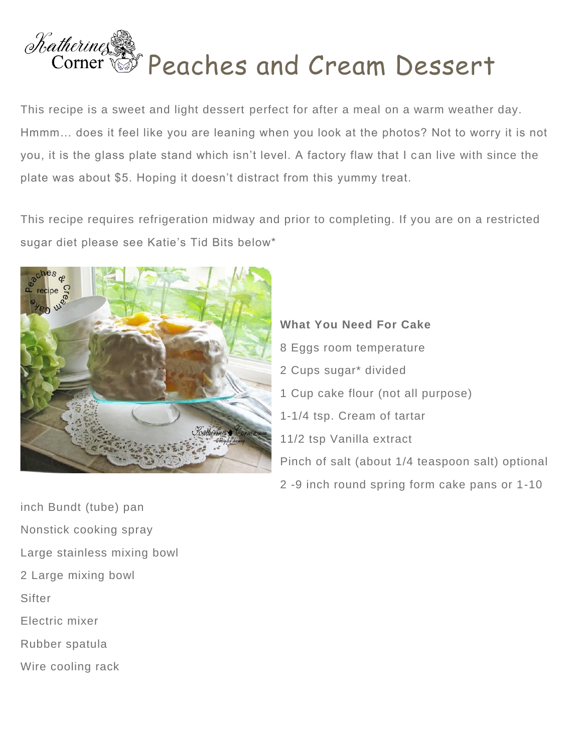

This recipe is a sweet and light dessert perfect for after a meal on a warm weather day. Hmmm… does it feel like you are leaning when you look at the photos? Not to worry it is not you, it is the glass plate stand which isn't level. A factory flaw that I can live with since the plate was about \$5. Hoping it doesn't distract from this yummy treat.

This recipe requires refrigeration midway and prior to completing. If you are on a restricted sugar diet please see Katie's Tid Bits below\*



**What You Need For Cake** 8 Eggs room temperature 2 Cups sugar\* divided 1 Cup cake flour (not all purpose) 1-1/4 tsp. Cream of tartar 11/2 tsp Vanilla extract Pinch of salt (about 1/4 teaspoon salt) optional 2 -9 inch round spring form cake pans or 1-10

inch Bundt (tube) pan Nonstick cooking spray Large stainless mixing bowl 2 Large mixing bowl **Sifter** Electric mixer Rubber spatula Wire cooling rack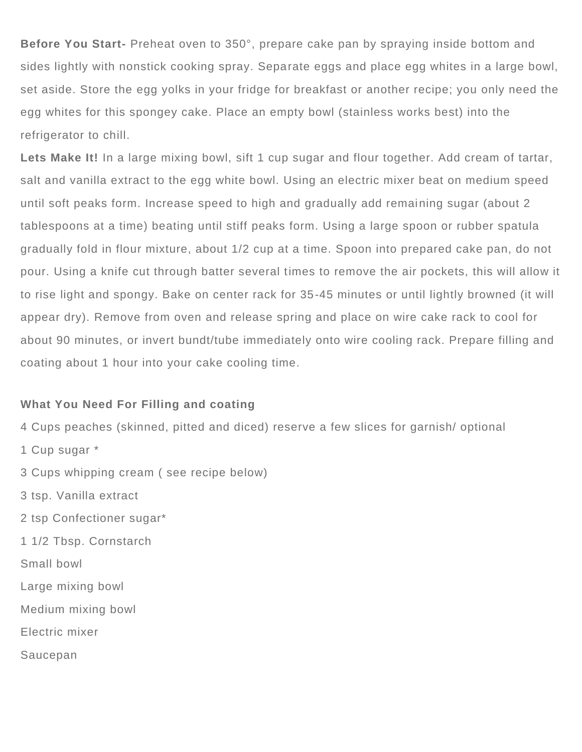**Before You Start-** Preheat oven to 350°, prepare cake pan by spraying inside bottom and sides lightly with nonstick cooking spray. Separate eggs and place egg whites in a large bowl, set aside. Store the egg yolks in your fridge for breakfast or another recipe; you only need the egg whites for this spongey cake. Place an empty bowl (stainless works best) into the refrigerator to chill.

Lets Make It! In a large mixing bowl, sift 1 cup sugar and flour together. Add cream of tartar, salt and vanilla extract to the egg white bowl. Using an electric mixer beat on medium speed until soft peaks form. Increase speed to high and gradually add remaining sugar (about 2 tablespoons at a time) beating until stiff peaks form. Using a large spoon or rubber spatula gradually fold in flour mixture, about 1/2 cup at a time. Spoon into prepared cake pan, do not pour. Using a knife cut through batter several times to remove the air pockets, this will allow it to rise light and spongy. Bake on center rack for 35-45 minutes or until lightly browned (it will appear dry). Remove from oven and release spring and place on wire cake rack to cool for about 90 minutes, or invert bundt/tube immediately onto wire cooling rack. Prepare filling and coating about 1 hour into your cake cooling time.

## **What You Need For Filling and coating**

4 Cups peaches (skinned, pitted and diced) reserve a few slices for garnish/ optional 1 Cup sugar \* 3 Cups whipping cream ( see recipe below) 3 tsp. Vanilla extract 2 tsp Confectioner sugar\* 1 1/2 Tbsp. Cornstarch Small bowl Large mixing bowl Medium mixing bowl Electric mixer Saucepan